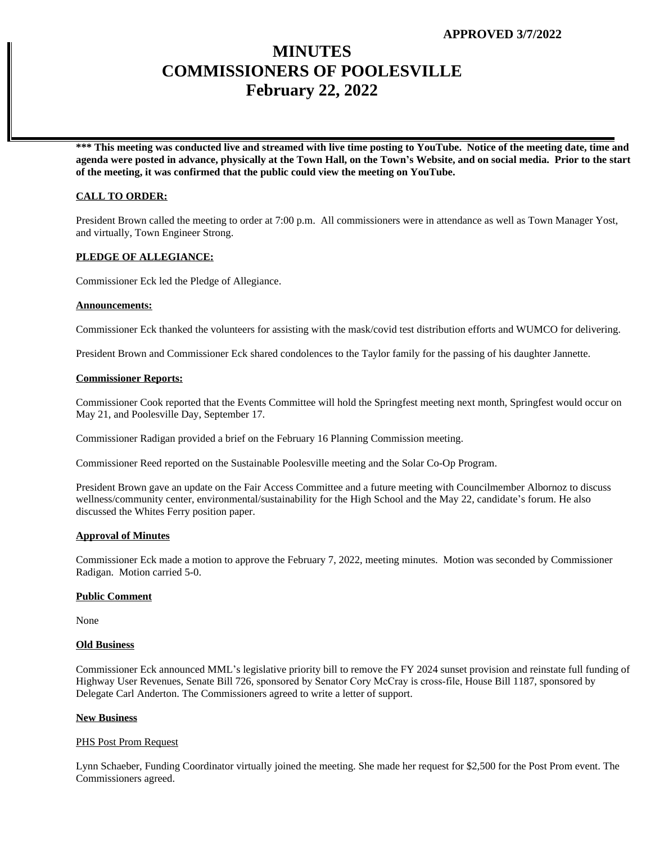# **MINUTES COMMISSIONERS OF POOLESVILLE February 22, 2022**

**\*\*\* This meeting was conducted live and streamed with live time posting to YouTube. Notice of the meeting date, time and agenda were posted in advance, physically at the Town Hall, on the Town's Website, and on social media. Prior to the start of the meeting, it was confirmed that the public could view the meeting on YouTube.**

# **CALL TO ORDER:**

President Brown called the meeting to order at 7:00 p.m. All commissioners were in attendance as well as Town Manager Yost, and virtually, Town Engineer Strong.

# **PLEDGE OF ALLEGIANCE:**

Commissioner Eck led the Pledge of Allegiance.

## **Announcements:**

Commissioner Eck thanked the volunteers for assisting with the mask/covid test distribution efforts and WUMCO for delivering.

President Brown and Commissioner Eck shared condolences to the Taylor family for the passing of his daughter Jannette.

#### **Commissioner Reports:**

Commissioner Cook reported that the Events Committee will hold the Springfest meeting next month, Springfest would occur on May 21, and Poolesville Day, September 17.

Commissioner Radigan provided a brief on the February 16 Planning Commission meeting.

Commissioner Reed reported on the Sustainable Poolesville meeting and the Solar Co-Op Program.

President Brown gave an update on the Fair Access Committee and a future meeting with Councilmember Albornoz to discuss wellness/community center, environmental/sustainability for the High School and the May 22, candidate's forum. He also discussed the Whites Ferry position paper.

## **Approval of Minutes**

Commissioner Eck made a motion to approve the February 7, 2022, meeting minutes. Motion was seconded by Commissioner Radigan. Motion carried 5-0.

#### **Public Comment**

None

#### **Old Business**

Commissioner Eck announced MML's legislative priority bill to remove the FY 2024 sunset provision and reinstate full funding of Highway User Revenues, Senate Bill 726, sponsored by Senator Cory McCray is cross-file, House Bill 1187, sponsored by Delegate Carl Anderton. The Commissioners agreed to write a letter of support.

## **New Business**

## PHS Post Prom Request

Lynn Schaeber, Funding Coordinator virtually joined the meeting. She made her request for \$2,500 for the Post Prom event. The Commissioners agreed.